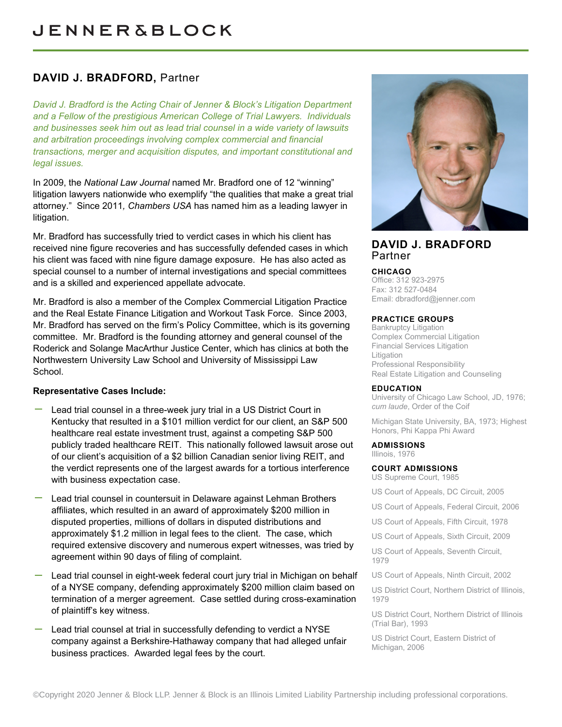# **DAVID J. BRADFORD,** Partner

*David J. Bradford is the Acting Chair of Jenner & Block's Litigation Department and a Fellow of the prestigious American College of Trial Lawyers. Individuals and businesses seek him out as lead trial counsel in a wide variety of lawsuits and arbitration proceedings involving complex commercial and financial transactions, merger and acquisition disputes, and important constitutional and legal issues.*

In 2009, the *National Law Journal* named Mr. Bradford one of 12 "winning" litigation lawyers nationwide who exemplify "the qualities that make a great trial attorney." Since 2011*, Chambers USA* has named him as a leading lawyer in litigation.

Mr. Bradford has successfully tried to verdict cases in which his client has received nine figure recoveries and has successfully defended cases in which his client was faced with nine figure damage exposure. He has also acted as special counsel to a number of internal investigations and special committees and is a skilled and experienced appellate advocate.

Mr. Bradford is also a member of the Complex Commercial Litigation Practice and the Real Estate Finance Litigation and Workout Task Force. Since 2003, Mr. Bradford has served on the firm's Policy Committee, which is its governing committee. Mr. Bradford is the founding attorney and general counsel of the Roderick and Solange MacArthur Justice Center, which has clinics at both the Northwestern University Law School and University of Mississippi Law School.

# **Representative Cases Include:**

- Lead trial counsel in a three-week jury trial in a US District Court in Kentucky that resulted in a \$101 million verdict for our client, an S&P 500 healthcare real estate investment trust, against a competing S&P 500 publicly traded healthcare REIT. This nationally followed lawsuit arose out of our client's acquisition of a \$2 billion Canadian senior living REIT, and the verdict represents one of the largest awards for a tortious interference with business expectation case.
- Lead trial counsel in countersuit in Delaware against Lehman Brothers affiliates, which resulted in an award of approximately \$200 million in disputed properties, millions of dollars in disputed distributions and approximately \$1.2 million in legal fees to the client. The case, which required extensive discovery and numerous expert witnesses, was tried by agreement within 90 days of filing of complaint.
- Lead trial counsel in eight-week federal court jury trial in Michigan on behalf of a NYSE company, defending approximately \$200 million claim based on termination of a merger agreement. Case settled during cross-examination of plaintiff's key witness.
- Lead trial counsel at trial in successfully defending to verdict a NYSE company against a Berkshire-Hathaway company that had alleged unfair business practices. Awarded legal fees by the court.



# **DAVID J. BRADFORD** Partner

#### **CHICAGO**

Office: 312 923-2975 Fax: 312 527-0484 Email: [dbradford@jenner.com](mailto:dbradford@jenner.com)

#### **PRACTICE GROUPS**

Bankruptcy Litigation Complex Commercial Litigation Financial Services Litigation **Litigation** Professional Responsibility Real Estate Litigation and Counseling

#### **EDUCATION**

University of Chicago Law School, JD, 1976; *cum laude*, Order of the Coif

Michigan State University, BA, 1973; Highest Honors, Phi Kappa Phi Award

#### **ADMISSIONS**

Illinois, 1976

**COURT ADMISSIONS** US Supreme Court, 1985

US Court of Appeals, DC Circuit, 2005

- US Court of Appeals, Federal Circuit, 2006
- US Court of Appeals, Fifth Circuit, 1978
- US Court of Appeals, Sixth Circuit, 2009

US Court of Appeals, Seventh Circuit, 1979

US Court of Appeals, Ninth Circuit, 2002

US District Court, Northern District of Illinois, 1979

US District Court, Northern District of Illinois (Trial Bar), 1993

US District Court, Eastern District of Michigan, 2006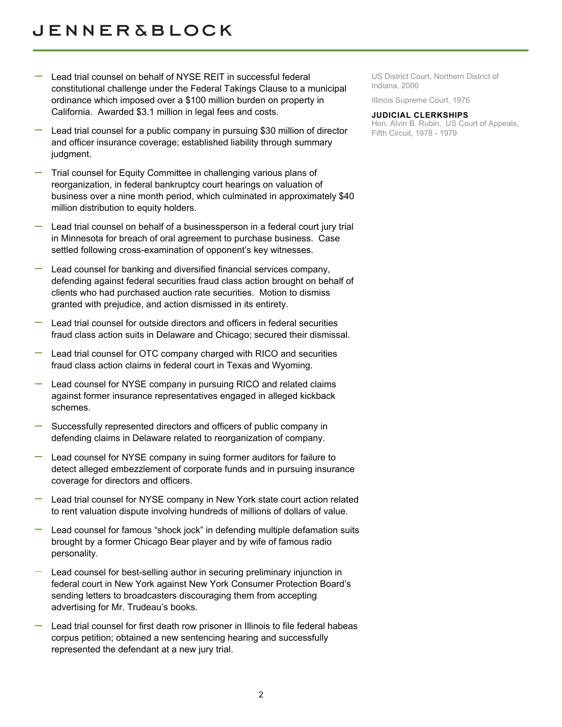- Lead trial counsel on behalf of NYSE REIT in successful federal constitutional challenge under the Federal Takings Clause to a municipal ordinance which imposed over a \$100 million burden on property in California. Awarded \$3.1 million in legal fees and costs.
- Lead trial counsel for a public company in pursuing \$30 million of director and officer insurance coverage; established liability through summary judgment.
- Trial counsel for Equity Committee in challenging various plans of reorganization, in federal bankruptcy court hearings on valuation of business over a nine month period, which culminated in approximately \$40 million distribution to equity holders.
- Lead trial counsel on behalf of a businessperson in a federal court jury trial in Minnesota for breach of oral agreement to purchase business. Case settled following cross-examination of opponent's key witnesses.
- Lead counsel for banking and diversified financial services company, defending against federal securities fraud class action brought on behalf of clients who had purchased auction rate securities. Motion to dismiss granted with prejudice, and action dismissed in its entirety.
- Lead trial counsel for outside directors and officers in federal securities fraud class action suits in Delaware and Chicago; secured their dismissal.
- Lead trial counsel for OTC company charged with RICO and securities fraud class action claims in federal court in Texas and Wyoming.
- Lead counsel for NYSE company in pursuing RICO and related claims against former insurance representatives engaged in alleged kickback schemes.
- Successfully represented directors and officers of public company in defending claims in Delaware related to reorganization of company.
- Lead counsel for NYSE company in suing former auditors for failure to detect alleged embezzlement of corporate funds and in pursuing insurance coverage for directors and officers.
- Lead trial counsel for NYSE company in New York state court action related to rent valuation dispute involving hundreds of millions of dollars of value.
- Lead counsel for famous "shock jock" in defending multiple defamation suits brought by a former Chicago Bear player and by wife of famous radio personality.
- Lead counsel for best-selling author in securing preliminary injunction in federal court in New York against New York Consumer Protection Board's sending letters to broadcasters discouraging them from accepting advertising for Mr. Trudeau's books.
- Lead trial counsel for first death row prisoner in Illinois to file federal habeas corpus petition; obtained a new sentencing hearing and successfully represented the defendant at a new jury trial.

US District Court, Northern District of Indiana, 2000

Illinois Supreme Court, 1976

#### **JUDICIAL CLERKSHIPS**

Hon. Alvin B. Rubin, US Court of Appeals, Fifth Circuit, 1978 - 1979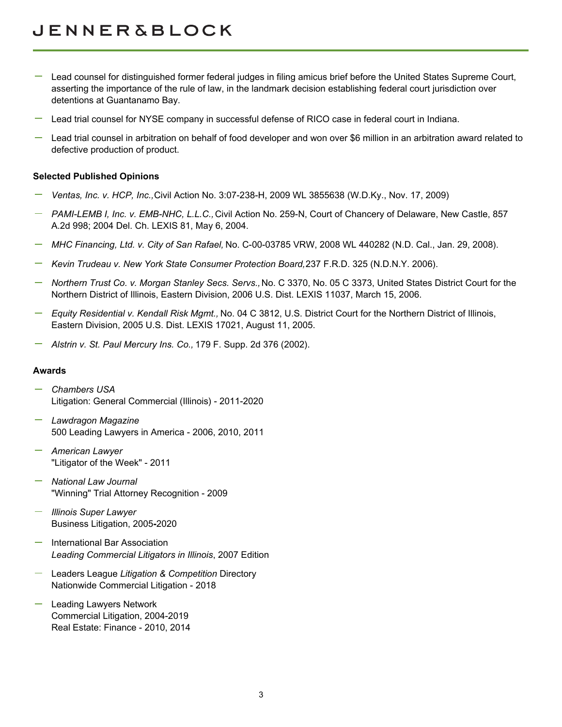- Lead counsel for distinguished former federal judges in filing amicus brief before the United States Supreme Court, asserting the importance of the rule of law, in the landmark decision establishing federal court jurisdiction over detentions at Guantanamo Bay.
- Lead trial counsel for NYSE company in successful defense of RICO case in federal court in Indiana.
- Lead trial counsel in arbitration on behalf of food developer and won over \$6 million in an arbitration award related to defective production of product.

#### **Selected Published Opinions**

- *Ventas, Inc. v. HCP, Inc.,* Civil Action No. 3:07-238-H, 2009 WL 3855638 (W.D.Ky., Nov. 17, 2009)
- *PAMI-LEMB I, Inc. v. EMB-NHC, L.L.C.,* Civil Action No. 259-N, Court of Chancery of Delaware, New Castle, 857 A.2d 998; 2004 Del. Ch. LEXIS 81, May 6, 2004.
- *MHC Financing, Ltd. v. City of San Rafael,* No. C-00-03785 VRW, 2008 WL 440282 (N.D. Cal., Jan. 29, 2008).
- *Kevin Trudeau v. New York State Consumer Protection Board,* 237 F.R.D. 325 (N.D.N.Y. 2006).
- *Northern Trust Co. v. Morgan Stanley Secs. Servs.,* No. C 3370, No. 05 C 3373, United States District Court for the Northern District of Illinois, Eastern Division, 2006 U.S. Dist. LEXIS 11037, March 15, 2006.
- *Equity Residential v. Kendall Risk Mgmt.,* No. 04 C 3812, U.S. District Court for the Northern District of Illinois, Eastern Division, 2005 U.S. Dist. LEXIS 17021, August 11, 2005.
- *Alstrin v. St. Paul Mercury Ins. Co.,* 179 F. Supp. 2d 376 (2002).

#### **Awards**

- *Chambers USA* Litigation: General Commercial (Illinois) - 2011-2020
- *Lawdragon Magazine* 500 Leading Lawyers in America - 2006, 2010, 2011
- *American Lawyer* "Litigator of the Week" - 2011
- *National Law Journal* "Winning" Trial Attorney Recognition - 2009
- *Illinois Super Lawyer* Business Litigation, 2005**-**2020
- International Bar Association *Leading Commercial Litigators in Illinois*, 2007 Edition
- Leaders League *Litigation & Competition* Directory Nationwide Commercial Litigation - 2018
- Leading Lawyers Network Commercial Litigation, 2004-2019 Real Estate: Finance - 2010, 2014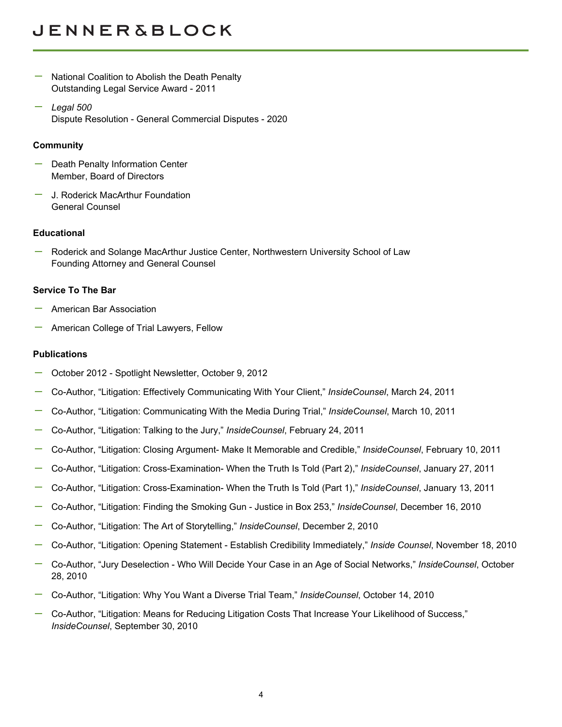# **JENNER&BLOCK**

- National Coalition to Abolish the Death Penalty Outstanding Legal Service Award - 2011
- *Legal 500* Dispute Resolution - General Commercial Disputes - 2020

### **Community**

- Death Penalty Information Center Member, Board of Directors
- J. Roderick MacArthur Foundation General Counsel

### **Educational**

Roderick and Solange MacArthur Justice Center, Northwestern University School of Law Founding Attorney and General Counsel

# **Service To The Bar**

- American Bar Association
- American College of Trial Lawyers, Fellow

### **Publications**

- October 2012 Spotlight Newsletter, October 9, 2012
- Co-Author, "Litigation: Effectively Communicating With Your Client," *InsideCounsel*, March 24, 2011
- Co-Author, "Litigation: Communicating With the Media During Trial," *InsideCounsel*, March 10, 2011
- Co-Author, "Litigation: Talking to the Jury," *InsideCounsel*, February 24, 2011
- Co-Author, "Litigation: Closing Argument- Make It Memorable and Credible," *InsideCounsel*, February 10, 2011
- Co-Author, "Litigation: Cross-Examination- When the Truth Is Told (Part 2)," *InsideCounsel*, January 27, 2011
- Co-Author, "Litigation: Cross-Examination- When the Truth Is Told (Part 1)," *InsideCounsel*, January 13, 2011
- Co-Author, "Litigation: Finding the Smoking Gun Justice in Box 253," *InsideCounsel*, December 16, 2010
- Co-Author, "Litigation: The Art of Storytelling," *InsideCounsel*, December 2, 2010
- Co-Author, "Litigation: Opening Statement Establish Credibility Immediately," *Inside Counsel*, November 18, 2010
- Co-Author, "Jury Deselection Who Will Decide Your Case in an Age of Social Networks," *InsideCounsel*, October 28, 2010
- Co-Author, "Litigation: Why You Want a Diverse Trial Team," *InsideCounsel*, October 14, 2010
- Co-Author, "Litigation: Means for Reducing Litigation Costs That Increase Your Likelihood of Success," *InsideCounsel*, September 30, 2010